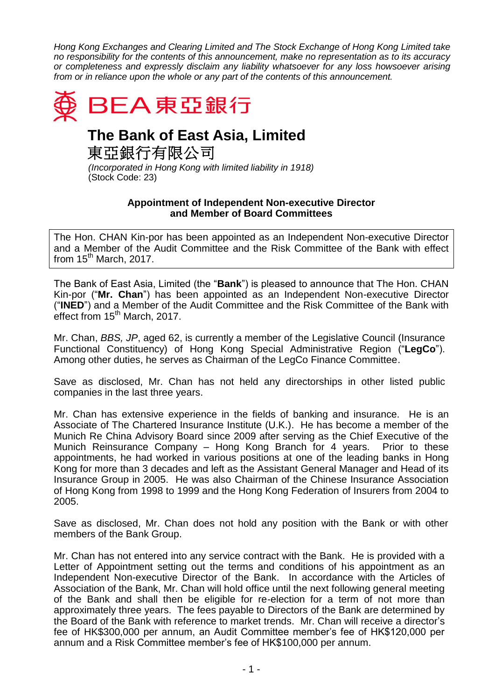*Hong Kong Exchanges and Clearing Limited and The Stock Exchange of Hong Kong Limited take no responsibility for the contents of this announcement, make no representation as to its accuracy or completeness and expressly disclaim any liability whatsoever for any loss howsoever arising from or in reliance upon the whole or any part of the contents of this announcement.*



## **The Bank of East Asia, Limited**

東亞銀行有限公司

*(Incorporated in Hong Kong with limited liability in 1918)* (Stock Code: 23)

## **Appointment of Independent Non-executive Director and Member of Board Committees**

The Hon. CHAN Kin-por has been appointed as an Independent Non-executive Director and a Member of the Audit Committee and the Risk Committee of the Bank with effect from 15<sup>th</sup> March, 2017.

The Bank of East Asia, Limited (the "**Bank**") is pleased to announce that The Hon. CHAN Kin-por ("**Mr. Chan**") has been appointed as an Independent Non-executive Director ("**INED**") and a Member of the Audit Committee and the Risk Committee of the Bank with effect from 15<sup>th</sup> March, 2017.

Mr. Chan, *BBS, JP*, aged 62, is currently a member of the Legislative Council (Insurance Functional Constituency) of Hong Kong Special Administrative Region ("**LegCo**"). Among other duties, he serves as Chairman of the LegCo Finance Committee.

Save as disclosed, Mr. Chan has not held any directorships in other listed public companies in the last three years.

Mr. Chan has extensive experience in the fields of banking and insurance. He is an Associate of The Chartered Insurance Institute (U.K.). He has become a member of the Munich Re China Advisory Board since 2009 after serving as the Chief Executive of the Munich Reinsurance Company – Hong Kong Branch for 4 years. Prior to these appointments, he had worked in various positions at one of the leading banks in Hong Kong for more than 3 decades and left as the Assistant General Manager and Head of its Insurance Group in 2005. He was also Chairman of the Chinese Insurance Association of Hong Kong from 1998 to 1999 and the Hong Kong Federation of Insurers from 2004 to 2005.

Save as disclosed, Mr. Chan does not hold any position with the Bank or with other members of the Bank Group.

Mr. Chan has not entered into any service contract with the Bank. He is provided with a Letter of Appointment setting out the terms and conditions of his appointment as an Independent Non-executive Director of the Bank. In accordance with the Articles of Association of the Bank, Mr. Chan will hold office until the next following general meeting of the Bank and shall then be eligible for re-election for a term of not more than approximately three years. The fees payable to Directors of the Bank are determined by the Board of the Bank with reference to market trends. Mr. Chan will receive a director's fee of HK\$300,000 per annum, an Audit Committee member's fee of HK\$120,000 per annum and a Risk Committee member's fee of HK\$100,000 per annum.